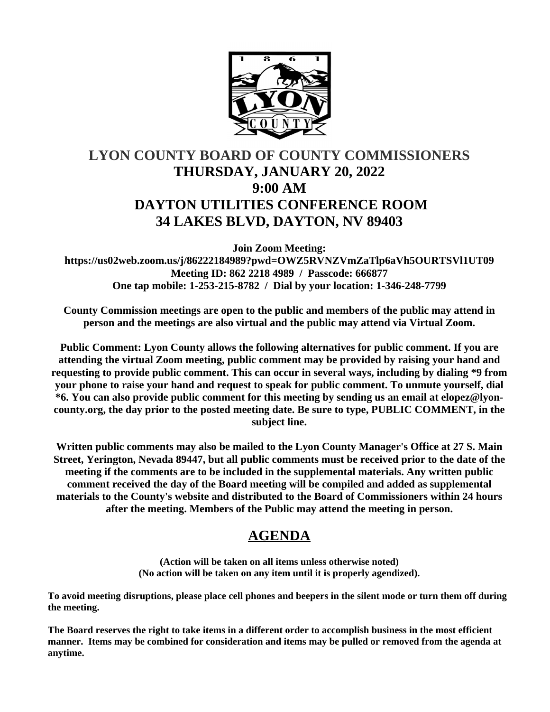

# **LYON COUNTY BOARD OF COUNTY COMMISSIONERS THURSDAY, JANUARY 20, 2022 9:00 AM DAYTON UTILITIES CONFERENCE ROOM 34 LAKES BLVD, DAYTON, NV 89403**

**Join Zoom Meeting:**

**https://us02web.zoom.us/j/86222184989?pwd=OWZ5RVNZVmZaTlp6aVh5OURTSVl1UT09 Meeting ID: 862 2218 4989 / Passcode: 666877 One tap mobile: 1-253-215-8782 / Dial by your location: 1-346-248-7799**

**County Commission meetings are open to the public and members of the public may attend in person and the meetings are also virtual and the public may attend via Virtual Zoom.**

**Public Comment: Lyon County allows the following alternatives for public comment. If you are attending the virtual Zoom meeting, public comment may be provided by raising your hand and requesting to provide public comment. This can occur in several ways, including by dialing \*9 from your phone to raise your hand and request to speak for public comment. To unmute yourself, dial \*6. You can also provide public comment for this meeting by sending us an email at elopez@lyoncounty.org, the day prior to the posted meeting date. Be sure to type, PUBLIC COMMENT, in the subject line.**

**Written public comments may also be mailed to the Lyon County Manager's Office at 27 S. Main Street, Yerington, Nevada 89447, but all public comments must be received prior to the date of the meeting if the comments are to be included in the supplemental materials. Any written public comment received the day of the Board meeting will be compiled and added as supplemental materials to the County's website and distributed to the Board of Commissioners within 24 hours after the meeting. Members of the Public may attend the meeting in person.**

# **AGENDA**

**(Action will be taken on all items unless otherwise noted) (No action will be taken on any item until it is properly agendized).**

**To avoid meeting disruptions, please place cell phones and beepers in the silent mode or turn them off during the meeting.**

**The Board reserves the right to take items in a different order to accomplish business in the most efficient manner. Items may be combined for consideration and items may be pulled or removed from the agenda at anytime.**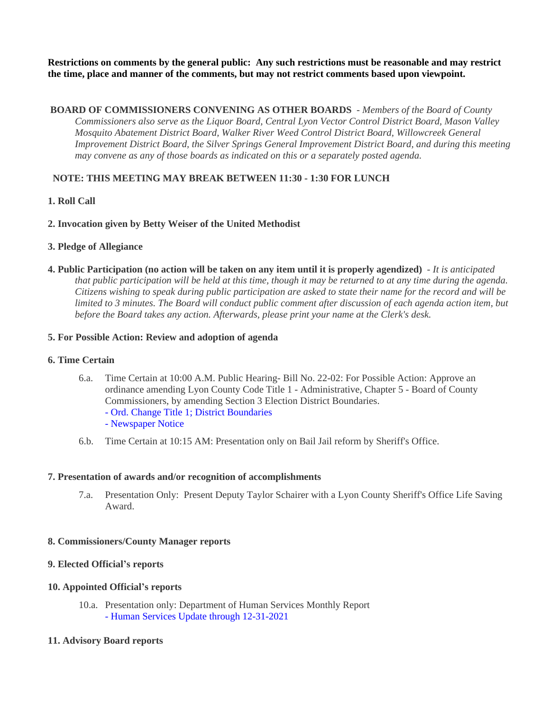**Restrictions on comments by the general public: Any such restrictions must be reasonable and may restrict the time, place and manner of the comments, but may not restrict comments based upon viewpoint.**

 **BOARD OF COMMISSIONERS CONVENING AS OTHER BOARDS** - *Members of the Board of County Commissioners also serve as the Liquor Board, Central Lyon Vector Control District Board, Mason Valley Mosquito Abatement District Board, Walker River Weed Control District Board, Willowcreek General Improvement District Board, the Silver Springs General Improvement District Board, and during this meeting may convene as any of those boards as indicated on this or a separately posted agenda.*

# **NOTE: THIS MEETING MAY BREAK BETWEEN 11:30 - 1:30 FOR LUNCH**

# **1. Roll Call**

# **2. Invocation given by Betty Weiser of the United Methodist**

#### **3. Pledge of Allegiance**

**4. Public Participation (no action will be taken on any item until it is properly agendized)** - *It is anticipated that public participation will be held at this time, though it may be returned to at any time during the agenda. Citizens wishing to speak during public participation are asked to state their name for the record and will be limited to 3 minutes. The Board will conduct public comment after discussion of each agenda action item, but before the Board takes any action. Afterwards, please print your name at the Clerk's desk.*

#### **5. For Possible Action: Review and adoption of agenda**

#### **6. Time Certain**

- 6.a. Time Certain at 10:00 A.M. Public Hearing- Bill No. 22-02: For Possible Action: Approve an ordinance amending Lyon County Code Title 1 - Administrative, Chapter 5 - Board of County Commissioners, by amending Section 3 Election District Boundaries. [- Ord. Change Title 1; District Boundaries](https://legistarweb-production.s3.amazonaws.com/uploads/attachment/pdf/1182665/Comm_District_Ord.pdf) [- Newspaper Notice](https://legistarweb-production.s3.amazonaws.com/uploads/attachment/pdf/1183160/BILLNo._20-02_Election_District_Boundries.pdf)
- 6.b. Time Certain at 10:15 AM: Presentation only on Bail Jail reform by Sheriff's Office.

#### **7. Presentation of awards and/or recognition of accomplishments**

7.a. Presentation Only: Present Deputy Taylor Schairer with a Lyon County Sheriff's Office Life Saving Award.

# **8. Commissioners/County Manager reports**

# **9. Elected Official's reports**

#### **10. Appointed Official's reports**

10.a. Presentation only: Department of Human Services Monthly Report [- Human Services Update through 12-31-2021](https://legistarweb-production.s3.amazonaws.com/uploads/attachment/pdf/1203972/-_Human_Services_Update_through_12-31-2021.pdf)

#### **11. Advisory Board reports**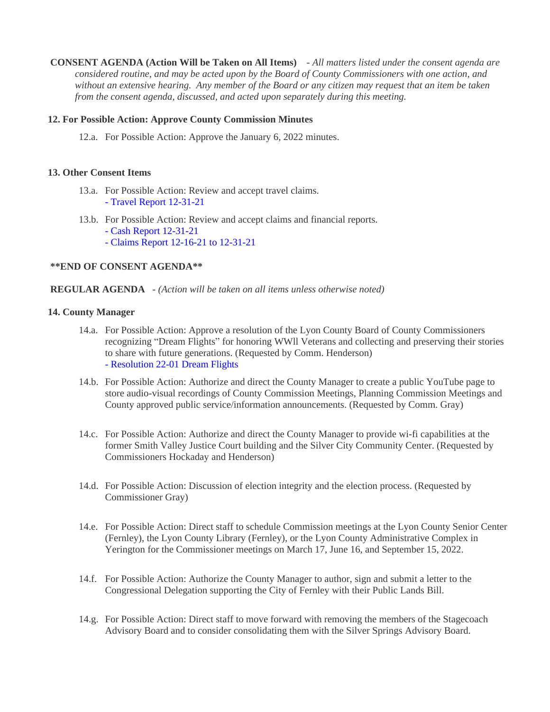**CONSENT AGENDA (Action Will be Taken on All Items)** - *All matters listed under the consent agenda are considered routine, and may be acted upon by the Board of County Commissioners with one action, and without an extensive hearing. Any member of the Board or any citizen may request that an item be taken from the consent agenda, discussed, and acted upon separately during this meeting.*

#### **12. For Possible Action: Approve County Commission Minutes**

12.a. For Possible Action: Approve the January 6, 2022 minutes.

#### **13. Other Consent Items**

- 13.a. For Possible Action: Review and accept travel claims. [- Travel Report 12-31-21](https://legistarweb-production.s3.amazonaws.com/uploads/attachment/pdf/1191163/Travel_Report_12-31-21.pdf)
- 13.b. For Possible Action: Review and accept claims and financial reports.
	- [Cash Report 12-31-21](https://legistarweb-production.s3.amazonaws.com/uploads/attachment/pdf/1191945/Cash_Report_12-31-21.pdf)
	- [Claims Report 12-16-21 to 12-31-21](https://legistarweb-production.s3.amazonaws.com/uploads/attachment/pdf/1191946/Claims_Report_12-16-21_to_12-31-21.pdf)

#### **\*\*END OF CONSENT AGENDA\*\***

#### **REGULAR AGENDA** - *(Action will be taken on all items unless otherwise noted)*

#### **14. County Manager**

- 14.a. For Possible Action: Approve a resolution of the Lyon County Board of County Commissioners recognizing "Dream Flights" for honoring WWll Veterans and collecting and preserving their stories to share with future generations. (Requested by Comm. Henderson) [- Resolution 22-01 Dream Flights](https://legistarweb-production.s3.amazonaws.com/uploads/attachment/pdf/1205894/DreamFlightsResolution.pdf)
- 14.b. For Possible Action: Authorize and direct the County Manager to create a public YouTube page to store audio-visual recordings of County Commission Meetings, Planning Commission Meetings and County approved public service/information announcements. (Requested by Comm. Gray)
- 14.c. For Possible Action: Authorize and direct the County Manager to provide wi-fi capabilities at the former Smith Valley Justice Court building and the Silver City Community Center. (Requested by Commissioners Hockaday and Henderson)
- 14.d. For Possible Action: Discussion of election integrity and the election process. (Requested by Commissioner Gray)
- 14.e. For Possible Action: Direct staff to schedule Commission meetings at the Lyon County Senior Center (Fernley), the Lyon County Library (Fernley), or the Lyon County Administrative Complex in Yerington for the Commissioner meetings on March 17, June 16, and September 15, 2022.
- 14.f. For Possible Action: Authorize the County Manager to author, sign and submit a letter to the Congressional Delegation supporting the City of Fernley with their Public Lands Bill.
- 14.g. For Possible Action: Direct staff to move forward with removing the members of the Stagecoach Advisory Board and to consider consolidating them with the Silver Springs Advisory Board.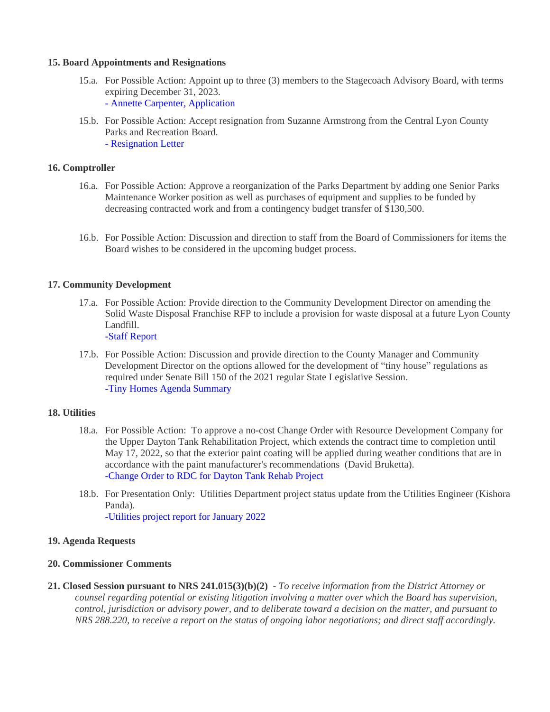#### **15. Board Appointments and Resignations**

- 15.a. For Possible Action: Appoint up to three (3) members to the Stagecoach Advisory Board, with terms expiring December 31, 2023. [- Annette Carpenter, Application](https://legistarweb-production.s3.amazonaws.com/uploads/attachment/pdf/1202648/Annette_Carpenter_Application.pdf)
- 15.b. For Possible Action: Accept resignation from Suzanne Armstrong from the Central Lyon County Parks and Recreation Board. [- Resignation Letter](https://legistarweb-production.s3.amazonaws.com/uploads/attachment/pdf/1202634/Suzanne_Armstrong_Resignation.pdf)

# **16. Comptroller**

- 16.a. For Possible Action: Approve a reorganization of the Parks Department by adding one Senior Parks Maintenance Worker position as well as purchases of equipment and supplies to be funded by decreasing contracted work and from a contingency budget transfer of \$130,500.
- 16.b. For Possible Action: Discussion and direction to staff from the Board of Commissioners for items the Board wishes to be considered in the upcoming budget process.

#### **17. Community Development**

- 17.a. For Possible Action: Provide direction to the Community Development Director on amending the Solid Waste Disposal Franchise RFP to include a provision for waste disposal at a future Lyon County Landfill. [-Staff Report](https://legistarweb-production.s3.amazonaws.com/uploads/attachment/pdf/1203432/Solid_Waste_RFP_Agenda_Item-_Edited.pdf)
- 17.b. For Possible Action: Discussion and provide direction to the County Manager and Community Development Director on the options allowed for the development of "tiny house" regulations as required under Senate Bill 150 of the 2021 regular State Legislative Session. [-Tiny Homes Agenda Summary](https://legistarweb-production.s3.amazonaws.com/uploads/attachment/pdf/1207414/01.20.2022_re_2020_Legislation_SB_150_Tiny_Homes_Agenda_Summary_Request_Form_Final__REVISED_.pdf)

#### **18. Utilities**

- 18.a. For Possible Action: To approve a no-cost Change Order with Resource Development Company for the Upper Dayton Tank Rehabilitation Project, which extends the contract time to completion until May 17, 2022, so that the exterior paint coating will be applied during weather conditions that are in accordance with the paint manufacturer's recommendations (David Bruketta). [-Change Order to RDC for Dayton Tank Rehab Project](https://legistarweb-production.s3.amazonaws.com/uploads/attachment/pdf/1202122/1973_Dayton_Tanks_CO_02__1_.pdf)
- 18.b. For Presentation Only: Utilities Department project status update from the Utilities Engineer (Kishora Panda). [-Utilities project report for January 2022](https://legistarweb-production.s3.amazonaws.com/uploads/attachment/pdf/1202136/2022_01_20_BOCC_project_update.pdf)

#### **19. Agenda Requests**

#### **20. Commissioner Comments**

**21. Closed Session pursuant to NRS 241.015(3)(b)(2)** - *To receive information from the District Attorney or counsel regarding potential or existing litigation involving a matter over which the Board has supervision, control, jurisdiction or advisory power, and to deliberate toward a decision on the matter, and pursuant to NRS 288.220, to receive a report on the status of ongoing labor negotiations; and direct staff accordingly.*